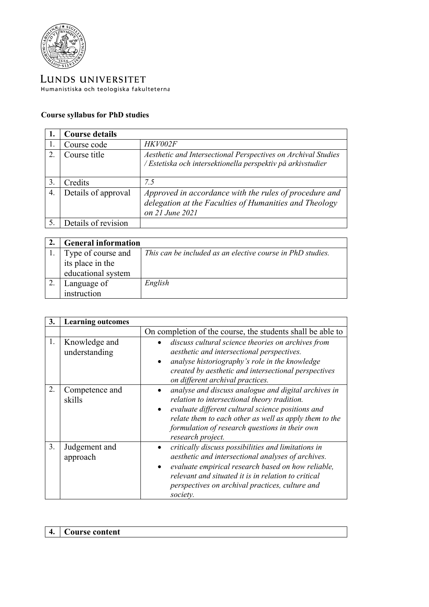

LUNDS UNIVERSITET Humanistiska och teologiska fakulteterna

## **Course syllabus for PhD studies**

|    | <b>Course details</b> |                                                                                                                                     |
|----|-----------------------|-------------------------------------------------------------------------------------------------------------------------------------|
|    | Course code           | HKV002F                                                                                                                             |
| 2. | Course title          | Aesthetic and Intersectional Perspectives on Archival Studies<br>/ Estetiska och intersektionella perspektiv på arkivstudier        |
| 3. | Credits               | 7.5                                                                                                                                 |
| 4. | Details of approval   | Approved in accordance with the rules of procedure and<br>delegation at the Faculties of Humanities and Theology<br>on 21 June 2021 |
| 5. | Details of revision   |                                                                                                                                     |

| <b>General information</b> |                                                            |
|----------------------------|------------------------------------------------------------|
| Type of course and         | This can be included as an elective course in PhD studies. |
| its place in the           |                                                            |
| educational system         |                                                            |
| Language of                | English                                                    |
| instruction                |                                                            |

| 3. | <b>Learning outcomes</b>       |                                                                                                                                                                                                                                                                                                         |
|----|--------------------------------|---------------------------------------------------------------------------------------------------------------------------------------------------------------------------------------------------------------------------------------------------------------------------------------------------------|
|    |                                | On completion of the course, the students shall be able to                                                                                                                                                                                                                                              |
| 1. | Knowledge and<br>understanding | discuss cultural science theories on archives from<br>aesthetic and intersectional perspectives.<br>analyse historiography's role in the knowledge<br>$\bullet$<br>created by aesthetic and intersectional perspectives<br>on different archival practices.                                             |
| 2. | Competence and<br>skills       | analyse and discuss analogue and digital archives in<br>relation to intersectional theory tradition.<br>evaluate different cultural science positions and<br>$\bullet$<br>relate them to each other as well as apply them to the<br>formulation of research questions in their own<br>research project. |
| 3. | Judgement and<br>approach      | critically discuss possibilities and limitations in<br>aesthetic and intersectional analyses of archives.<br>evaluate empirical research based on how reliable,<br>$\bullet$<br>relevant and situated it is in relation to critical<br>perspectives on archival practices, culture and<br>society.      |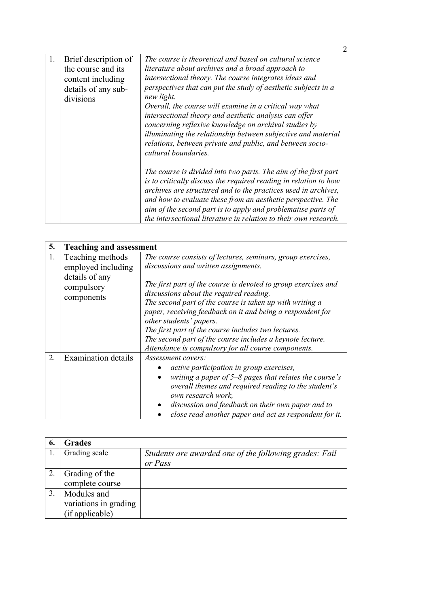| 1. | Brief description of<br>the course and its<br>content including<br>details of any sub-<br>divisions | The course is theoretical and based on cultural science<br>literature about archives and a broad approach to<br>intersectional theory. The course integrates ideas and<br>perspectives that can put the study of aesthetic subjects in a<br>new light.<br>Overall, the course will examine in a critical way what<br>intersectional theory and aesthetic analysis can offer<br>concerning reflexive knowledge on archival studies by<br>illuminating the relationship between subjective and material<br>relations, between private and public, and between socio-<br>cultural boundaries. |
|----|-----------------------------------------------------------------------------------------------------|--------------------------------------------------------------------------------------------------------------------------------------------------------------------------------------------------------------------------------------------------------------------------------------------------------------------------------------------------------------------------------------------------------------------------------------------------------------------------------------------------------------------------------------------------------------------------------------------|
|    |                                                                                                     | The course is divided into two parts. The aim of the first part<br>is to critically discuss the required reading in relation to how<br>archives are structured and to the practices used in archives,<br>and how to evaluate these from an aesthetic perspective. The<br>aim of the second part is to apply and problematise parts of<br>the intersectional literature in relation to their own research.                                                                                                                                                                                  |

| 5. | <b>Teaching and assessment</b>                                         |                                                                                                                                                                                                                                                                                                                                                                         |
|----|------------------------------------------------------------------------|-------------------------------------------------------------------------------------------------------------------------------------------------------------------------------------------------------------------------------------------------------------------------------------------------------------------------------------------------------------------------|
| 1. | Teaching methods<br>employed including<br>details of any<br>compulsory | The course consists of lectures, seminars, group exercises,<br>discussions and written assignments.<br>The first part of the course is devoted to group exercises and                                                                                                                                                                                                   |
|    | components                                                             | discussions about the required reading.<br>The second part of the course is taken up with writing a<br>paper, receiving feedback on it and being a respondent for<br>other students' papers.<br>The first part of the course includes two lectures.<br>The second part of the course includes a keynote lecture.<br>Attendance is compulsory for all course components. |
| 2. | <b>Examination details</b>                                             | Assessment covers:<br>active participation in group exercises,<br>writing a paper of $5-8$ pages that relates the course's<br>$\bullet$<br>overall themes and required reading to the student's<br>own research work,<br>discussion and feedback on their own paper and to<br>close read another paper and act as respondent for it.                                    |

| 6. | <b>Grades</b>         |                                                        |
|----|-----------------------|--------------------------------------------------------|
|    | Grading scale         | Students are awarded one of the following grades: Fail |
|    |                       | or Pass                                                |
|    | Grading of the        |                                                        |
|    | complete course       |                                                        |
|    | Modules and           |                                                        |
|    | variations in grading |                                                        |
|    | (if applicable)       |                                                        |